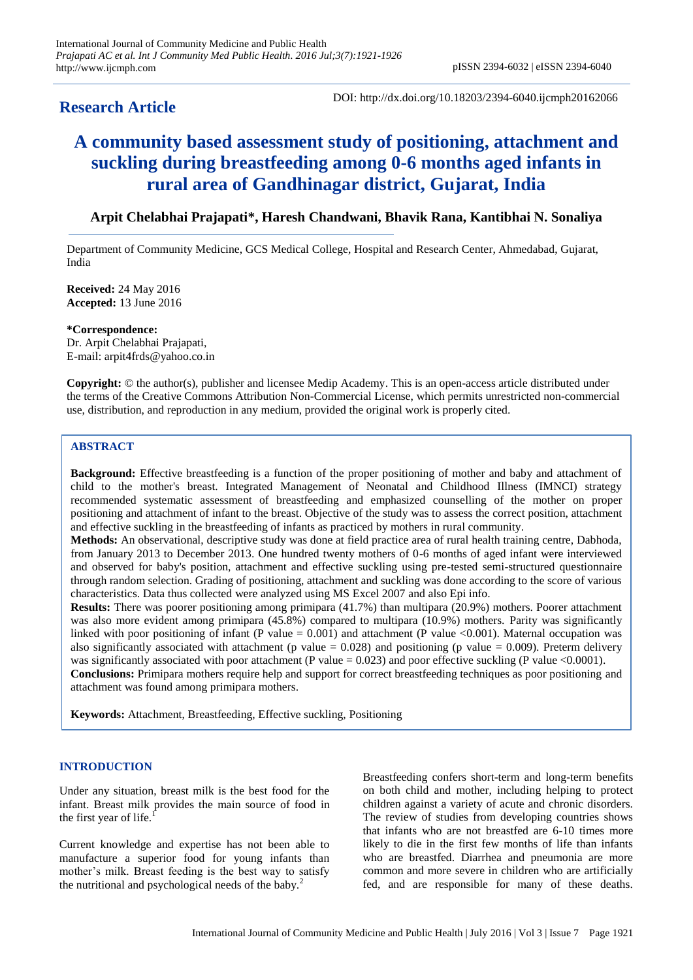# **Research Article**

DOI: http://dx.doi.org/10.18203/2394-6040.ijcmph20162066

# **A community based assessment study of positioning, attachment and suckling during breastfeeding among 0-6 months aged infants in rural area of Gandhinagar district, Gujarat, India**

# **Arpit Chelabhai Prajapati\*, Haresh Chandwani, Bhavik Rana, Kantibhai N. Sonaliya**

Department of Community Medicine, GCS Medical College, Hospital and Research Center, Ahmedabad, Gujarat, India

**Received:** 24 May 2016 **Accepted:** 13 June 2016

**\*Correspondence:**

Dr. Arpit Chelabhai Prajapati, E-mail: arpit4frds@yahoo.co.in

**Copyright:** © the author(s), publisher and licensee Medip Academy. This is an open-access article distributed under the terms of the Creative Commons Attribution Non-Commercial License, which permits unrestricted non-commercial use, distribution, and reproduction in any medium, provided the original work is properly cited.

# **ABSTRACT**

**Background:** Effective breastfeeding is a function of the proper positioning of mother and baby and attachment of child to the mother's breast. Integrated Management of Neonatal and Childhood Illness (IMNCI) strategy recommended systematic assessment of breastfeeding and emphasized counselling of the mother on proper positioning and attachment of infant to the breast. Objective of the study was to assess the correct position, attachment and effective suckling in the breastfeeding of infants as practiced by mothers in rural community.

**Methods:** An observational, descriptive study was done at field practice area of rural health training centre, Dabhoda, from January 2013 to December 2013. One hundred twenty mothers of 0-6 months of aged infant were interviewed and observed for baby's position, attachment and effective suckling using pre-tested semi-structured questionnaire through random selection. Grading of positioning, attachment and suckling was done according to the score of various characteristics. Data thus collected were analyzed using MS Excel 2007 and also Epi info.

**Results:** There was poorer positioning among primipara (41.7%) than multipara (20.9%) mothers. Poorer attachment was also more evident among primipara (45.8%) compared to multipara (10.9%) mothers. Parity was significantly linked with poor positioning of infant (P value =  $0.001$ ) and attachment (P value <0.001). Maternal occupation was also significantly associated with attachment (p value =  $0.028$ ) and positioning (p value = 0.009). Preterm delivery was significantly associated with poor attachment (P value =  $0.023$ ) and poor effective suckling (P value <  $0.0001$ ). **Conclusions:** Primipara mothers require help and support for correct breastfeeding techniques as poor positioning and attachment was found among primipara mothers.

**Keywords:** Attachment, Breastfeeding, Effective suckling, Positioning

# **INTRODUCTION**

Under any situation, breast milk is the best food for the infant. Breast milk provides the main source of food in the first year of life.

Current knowledge and expertise has not been able to manufacture a superior food for young infants than mother"s milk. Breast feeding is the best way to satisfy the nutritional and psychological needs of the baby. $<sup>2</sup>$ </sup>

Breastfeeding confers short-term and long-term benefits on both child and mother, including helping to protect children against a variety of acute and chronic disorders. The review of studies from developing countries shows that infants who are not breastfed are 6-10 times more likely to die in the first few months of life than infants who are breastfed. Diarrhea and pneumonia are more common and more severe in children who are artificially fed, and are responsible for many of these deaths.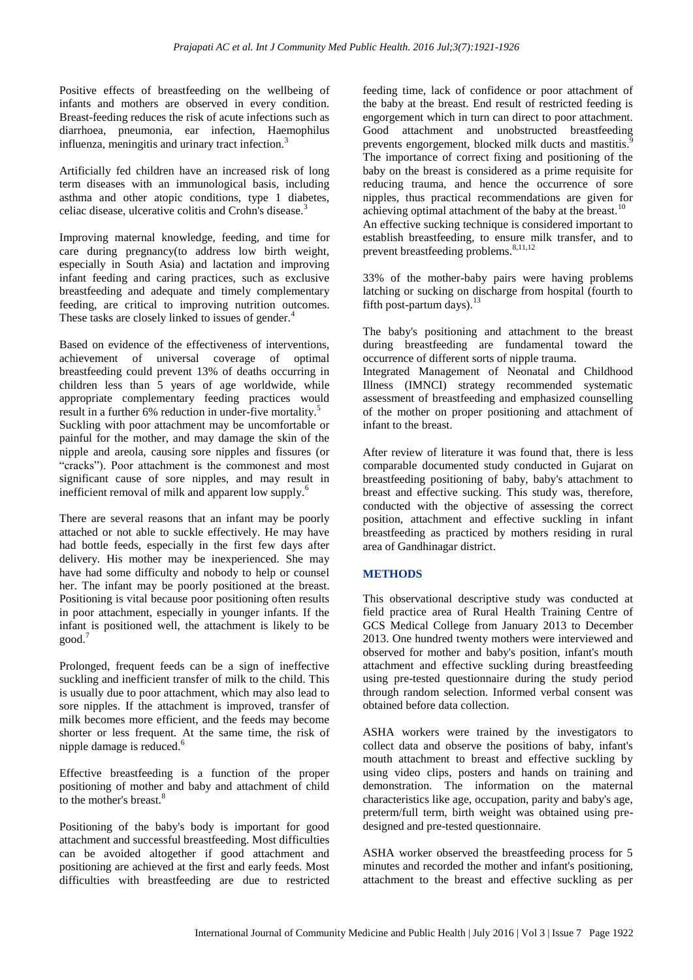Positive effects of breastfeeding on the wellbeing of infants and mothers are observed in every condition. Breast-feeding reduces the risk of acute infections such as diarrhoea, pneumonia, ear infection, Haemophilus influenza, meningitis and urinary tract infection.<sup>3</sup>

Artificially fed children have an increased risk of long term diseases with an immunological basis, including asthma and other atopic conditions, type 1 diabetes, celiac disease, ulcerative colitis and Crohn's disease.<sup>3</sup>

Improving maternal knowledge, feeding, and time for care during pregnancy(to address low birth weight, especially in South Asia) and lactation and improving infant feeding and caring practices, such as exclusive breastfeeding and adequate and timely complementary feeding, are critical to improving nutrition outcomes. These tasks are closely linked to issues of gender.<sup>4</sup>

Based on evidence of the effectiveness of interventions, achievement of universal coverage of optimal breastfeeding could prevent 13% of deaths occurring in children less than 5 years of age worldwide, while appropriate complementary feeding practices would result in a further 6% reduction in under-five mortality.<sup>5</sup> Suckling with poor attachment may be uncomfortable or painful for the mother, and may damage the skin of the nipple and areola, causing sore nipples and fissures (or "cracks"). Poor attachment is the commonest and most significant cause of sore nipples, and may result in inefficient removal of milk and apparent low supply.<sup>6</sup>

There are several reasons that an infant may be poorly attached or not able to suckle effectively. He may have had bottle feeds, especially in the first few days after delivery. His mother may be inexperienced. She may have had some difficulty and nobody to help or counsel her. The infant may be poorly positioned at the breast. Positioning is vital because poor positioning often results in poor attachment, especially in younger infants. If the infant is positioned well, the attachment is likely to be good.<sup>7</sup>

Prolonged, frequent feeds can be a sign of ineffective suckling and inefficient transfer of milk to the child. This is usually due to poor attachment, which may also lead to sore nipples. If the attachment is improved, transfer of milk becomes more efficient, and the feeds may become shorter or less frequent. At the same time, the risk of nipple damage is reduced.<sup>6</sup>

Effective breastfeeding is a function of the proper positioning of mother and baby and attachment of child to the mother's breast.<sup>8</sup>

Positioning of the baby's body is important for good attachment and successful breastfeeding. Most difficulties can be avoided altogether if good attachment and positioning are achieved at the first and early feeds. Most difficulties with breastfeeding are due to restricted feeding time, lack of confidence or poor attachment of the baby at the breast. End result of restricted feeding is engorgement which in turn can direct to poor attachment. Good attachment and unobstructed breastfeeding prevents engorgement, blocked milk ducts and mastitis.<sup>9</sup> The importance of correct fixing and positioning of the baby on the breast is considered as a prime requisite for reducing trauma, and hence the occurrence of sore nipples, thus practical recommendations are given for achieving optimal attachment of the baby at the breast.<sup>10</sup> An effective sucking technique is considered important to establish breastfeeding, to ensure milk transfer, and to prevent breastfeeding problems.<sup>8,11,12</sup>

33% of the mother-baby pairs were having problems latching or sucking on discharge from hospital (fourth to fifth post-partum days). $^{13}$ 

The baby's positioning and attachment to the breast during breastfeeding are fundamental toward the occurrence of different sorts of nipple trauma. Integrated Management of Neonatal and Childhood Illness (IMNCI) strategy recommended systematic assessment of breastfeeding and emphasized counselling of the mother on proper positioning and attachment of infant to the breast.

After review of literature it was found that, there is less comparable documented study conducted in Gujarat on breastfeeding positioning of baby, baby's attachment to breast and effective sucking. This study was, therefore, conducted with the objective of assessing the correct position, attachment and effective suckling in infant breastfeeding as practiced by mothers residing in rural area of Gandhinagar district.

# **METHODS**

This observational descriptive study was conducted at field practice area of Rural Health Training Centre of GCS Medical College from January 2013 to December 2013. One hundred twenty mothers were interviewed and observed for mother and baby's position, infant's mouth attachment and effective suckling during breastfeeding using pre-tested questionnaire during the study period through random selection. Informed verbal consent was obtained before data collection.

ASHA workers were trained by the investigators to collect data and observe the positions of baby, infant's mouth attachment to breast and effective suckling by using video clips, posters and hands on training and demonstration. The information on the maternal characteristics like age, occupation, parity and baby's age, preterm/full term, birth weight was obtained using predesigned and pre-tested questionnaire.

ASHA worker observed the breastfeeding process for 5 minutes and recorded the mother and infant's positioning, attachment to the breast and effective suckling as per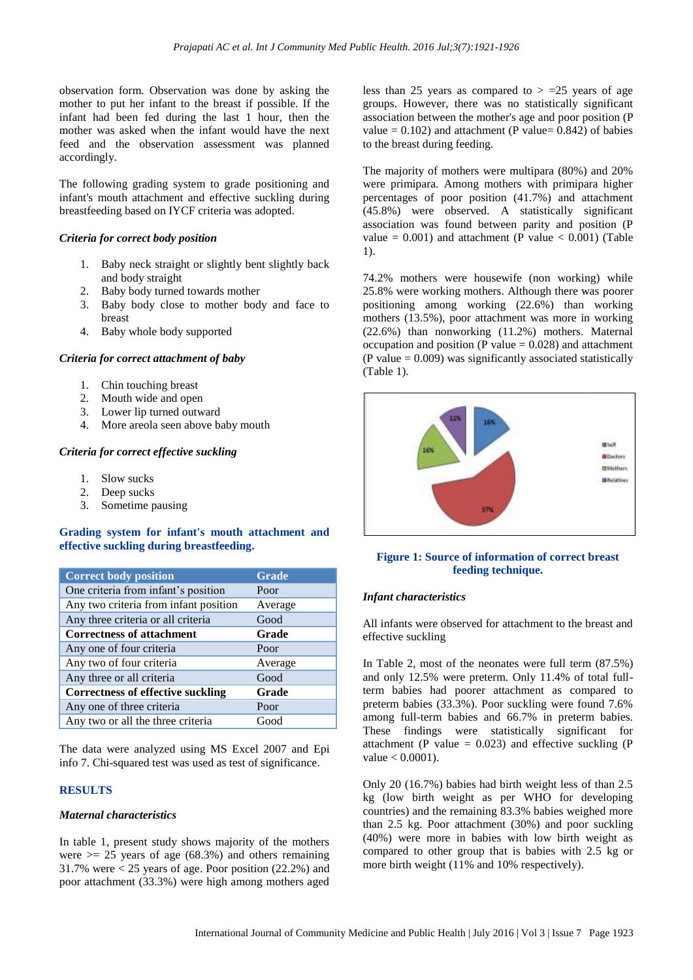observation form. Observation was done by asking the mother to put her infant to the breast if possible. If the infant had been fed during the last 1 hour, then the mother was asked when the infant would have the next feed and the observation assessment was planned accordingly.

The following grading system to grade positioning and infant's mouth attachment and effective suckling during breastfeeding based on IYCF criteria was adopted.

#### *Criteria for correct body position*

- 1. Baby neck straight or slightly bent slightly back and body straight
- 2. Baby body turned towards mother
- 3. Baby body close to mother body and face to breast
- 4. Baby whole body supported

#### *Criteria for correct attachment of baby*

- 1. Chin touching breast
- 2. Mouth wide and open
- 3. Lower lip turned outward
- 4. More areola seen above baby mouth

#### *Criteria for correct effective suckling*

- 1. Slow sucks
- 2. Deep sucks
- 3. Sometime pausing

### **Grading system for infant's mouth attachment and effective suckling during breastfeeding.**

| <b>Correct body position</b>             | <b>Grade</b> |
|------------------------------------------|--------------|
| One criteria from infant's position      | Poor         |
| Any two criteria from infant position    | Average      |
| Any three criteria or all criteria       | Good         |
| <b>Correctness of attachment</b>         | Grade        |
| Any one of four criteria                 | Poor         |
| Any two of four criteria                 | Average      |
| Any three or all criteria                | Good         |
| <b>Correctness of effective suckling</b> | Grade        |
| Any one of three criteria                | Poor         |
| Any two or all the three criteria        | Good         |

The data were analyzed using MS Excel 2007 and Epi info 7. Chi-squared test was used as test of significance.

#### **RESULTS**

#### *Maternal characteristics*

In table 1, present study shows majority of the mothers were  $\geq$  25 years of age (68.3%) and others remaining 31.7% were  $<$  25 years of age. Poor position (22.2%) and poor attachment (33.3%) were high among mothers aged

less than 25 years as compared to  $> =25$  years of age groups. However, there was no statistically significant association between the mother's age and poor position (P value =  $0.102$ ) and attachment (P value=  $0.842$ ) of babies to the breast during feeding.

The majority of mothers were multipara (80%) and 20% were primipara. Among mothers with primipara higher percentages of poor position (41.7%) and attachment (45.8%) were observed. A statistically significant association was found between parity and position (P value =  $0.001$ ) and attachment (P value <  $0.001$ ) (Table 1).

74.2% mothers were housewife (non working) while 25.8% were working mothers. Although there was poorer positioning among working (22.6%) than working mothers (13.5%), poor attachment was more in working (22.6%) than nonworking (11.2%) mothers. Maternal occupation and position (P value  $= 0.028$ ) and attachment (P value  $= 0.009$ ) was significantly associated statistically (Table 1).



#### **Figure 1: Source of information of correct breast feeding technique.**

#### *Infant characteristics*

All infants were observed for attachment to the breast and effective suckling

In Table 2, most of the neonates were full term (87.5%) and only 12.5% were preterm. Only 11.4% of total fullterm babies had poorer attachment as compared to preterm babies (33.3%). Poor suckling were found 7.6% among full-term babies and 66.7% in preterm babies. These findings were statistically significant for attachment (P value =  $0.023$ ) and effective suckling (P value < 0.0001).

Only 20 (16.7%) babies had birth weight less of than 2.5 kg (low birth weight as per WHO for developing countries) and the remaining 83.3% babies weighed more than 2.5 kg. Poor attachment (30%) and poor suckling (40%) were more in babies with low birth weight as compared to other group that is babies with 2.5 kg or more birth weight (11% and 10% respectively).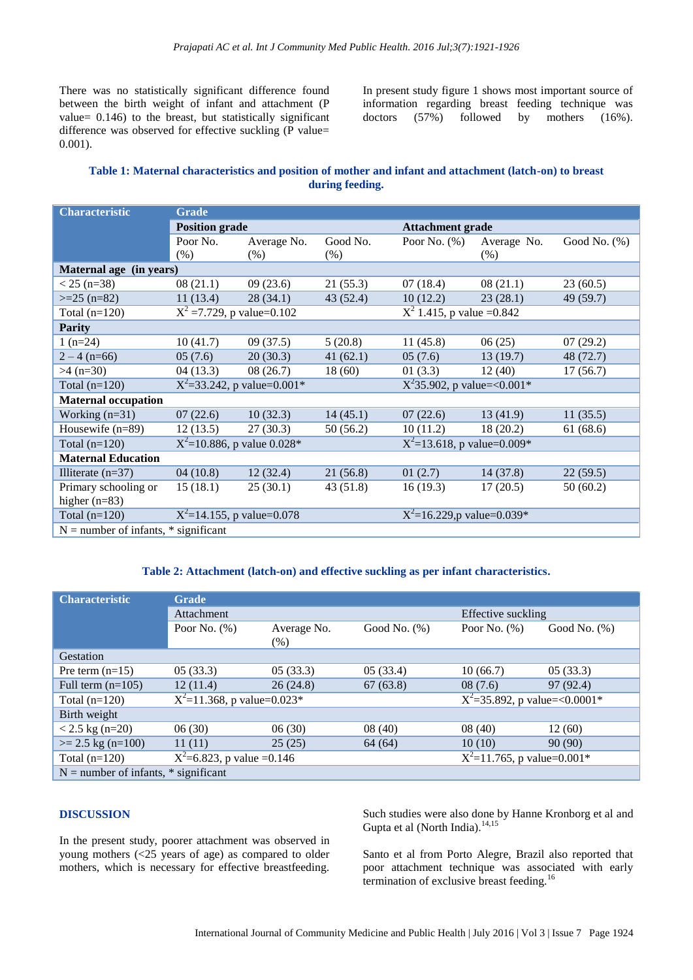There was no statistically significant difference found between the birth weight of infant and attachment (P value= 0.146) to the breast, but statistically significant difference was observed for effective suckling (P value= 0.001).

In present study figure 1 shows most important source of information regarding breast feeding technique was doctors (57%) followed by mothers (16%).

# **Table 1: Maternal characteristics and position of mother and infant and attachment (latch-on) to breast during feeding.**

| <b>Characteristic</b>                    | <b>Grade</b>                    |             |          |                                          |             |                 |  |
|------------------------------------------|---------------------------------|-------------|----------|------------------------------------------|-------------|-----------------|--|
|                                          | <b>Position grade</b>           |             |          | <b>Attachment grade</b>                  |             |                 |  |
|                                          | Poor No.                        | Average No. | Good No. | Poor No. $(\%)$                          | Average No. | Good No. $(\%)$ |  |
|                                          | (% )                            | $(\%)$      | $(\% )$  |                                          | $(\% )$     |                 |  |
| Maternal age (in years)                  |                                 |             |          |                                          |             |                 |  |
| $< 25$ (n=38)                            | 08(21.1)                        | 09(23.6)    | 21(55.3) | 07(18.4)                                 | 08(21.1)    | 23(60.5)        |  |
| $>=25$ (n=82)                            | 11(13.4)                        | 28(34.1)    | 43(52.4) | 10(12.2)                                 | 23(28.1)    | 49 (59.7)       |  |
| Total $(n=120)$                          | $X^2 = 7.729$ , p value=0.102   |             |          | $X^2$ 1.415, p value = 0.842             |             |                 |  |
| <b>Parity</b>                            |                                 |             |          |                                          |             |                 |  |
| $1(n=24)$                                | 10(41.7)                        | 09(37.5)    | 5(20.8)  | 11(45.8)                                 | 06(25)      | 07(29.2)        |  |
| $2 - 4(n=66)$                            | 05(7.6)                         | 20(30.3)    | 41(62.1) | 05(7.6)                                  | 13(19.7)    | 48 (72.7)       |  |
| $>4$ (n=30)                              | 04(13.3)                        | 08(26.7)    | 18(60)   | 01(3.3)                                  | 12(40)      | 17(56.7)        |  |
| Total $(n=120)$                          | $X^2 = 33.242$ , p value=0.001* |             |          | $\overline{X^235.902}$ , p value=<0.001* |             |                 |  |
| <b>Maternal occupation</b>               |                                 |             |          |                                          |             |                 |  |
| Working $(n=31)$                         | 07(22.6)                        | 10(32.3)    | 14(45.1) | 07(22.6)                                 | 13(41.9)    | 11(35.5)        |  |
| Housewife $(n=89)$                       | 12(13.5)                        | 27(30.3)    | 50(56.2) | 10(11.2)                                 | 18(20.2)    | 61 (68.6)       |  |
| Total $(n=120)$                          | $X^2$ =10.886, p value 0.028*   |             |          | $X^2$ =13.618, p value=0.009*            |             |                 |  |
| <b>Maternal Education</b>                |                                 |             |          |                                          |             |                 |  |
| Illiterate $(n=37)$                      | 04(10.8)                        | 12(32.4)    | 21(56.8) | 01(2.7)                                  | 14(37.8)    | 22(59.5)        |  |
| Primary schooling or                     | 15(18.1)                        | 25(30.1)    | 43(51.8) | 16(19.3)                                 | 17(20.5)    | 50(60.2)        |  |
| higher $(n=83)$                          |                                 |             |          |                                          |             |                 |  |
| Total $(n=120)$                          | $X^2$ =14.155, p value=0.078    |             |          | $X^2=16.229$ , p value=0.039*            |             |                 |  |
| $N =$ number of infants, $*$ significant |                                 |             |          |                                          |             |                 |  |

#### **Table 2: Attachment (latch-on) and effective suckling as per infant characteristics.**

| <b>Characteristic</b>                    | <b>Grade</b>                  |             |                                             |                                 |                 |  |  |  |
|------------------------------------------|-------------------------------|-------------|---------------------------------------------|---------------------------------|-----------------|--|--|--|
|                                          | Attachment                    |             | Effective suckling                          |                                 |                 |  |  |  |
|                                          | Poor No. $(\%)$               | Average No. | Good No. (%)                                | Poor No. $(\%)$                 | Good No. $(\%)$ |  |  |  |
|                                          |                               | $(\%)$      |                                             |                                 |                 |  |  |  |
| Gestation                                |                               |             |                                             |                                 |                 |  |  |  |
| Pre term $(n=15)$                        | 05(33.3)                      | 05(33.3)    | 05(33.4)                                    | 10(66.7)                        | 05(33.3)        |  |  |  |
| Full term $(n=105)$                      | 12(11.4)                      | 26(24.8)    | 67(63.8)                                    | 08(7.6)                         | 97 (92.4)       |  |  |  |
| Total $(n=120)$                          | $X^2$ =11.368, p value=0.023* |             |                                             | $X^2$ =35.892, p value=<0.0001* |                 |  |  |  |
| Birth weight                             |                               |             |                                             |                                 |                 |  |  |  |
| $< 2.5$ kg (n=20)                        | 06(30)                        | 06(30)      | 08(40)                                      | 08(40)                          | 12(60)          |  |  |  |
| $>= 2.5 \text{ kg} (n=100)$              | 11(11)                        | 25(25)      | 64 (64)                                     | 10(10)                          | 90(90)          |  |  |  |
| Total $(n=120)$                          | $X^2$ =6.823, p value =0.146  |             | $X^2$ =11.765, p value= $\overline{0.001*}$ |                                 |                 |  |  |  |
| $N =$ number of infants, $*$ significant |                               |             |                                             |                                 |                 |  |  |  |

# **DISCUSSION**

In the present study, poorer attachment was observed in young mothers (<25 years of age) as compared to older mothers, which is necessary for effective breastfeeding.

Such studies were also done by Hanne Kronborg et al and Gupta et al (North India).<sup>14,15</sup>

Santo et al from Porto Alegre, Brazil also reported that poor attachment technique was associated with early termination of exclusive breast feeding.<sup>16</sup>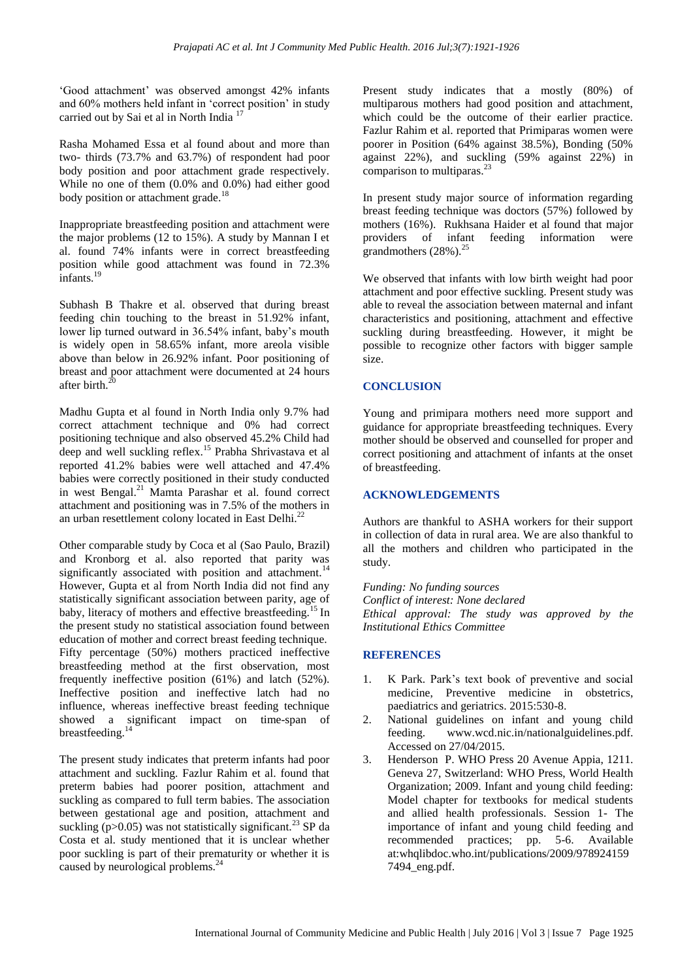'Good attachment' was observed amongst 42% infants and 60% mothers held infant in "correct position" in study carried out by Sai et al in North India <sup>17</sup>

Rasha Mohamed Essa et al found about and more than two- thirds (73.7% and 63.7%) of respondent had poor body position and poor attachment grade respectively. While no one of them (0.0% and 0.0%) had either good body position or attachment grade.<sup>18</sup>

Inappropriate breastfeeding position and attachment were the major problems (12 to 15%). A study by Mannan I et al. found 74% infants were in correct breastfeeding position while good attachment was found in 72.3% infants. $^{19}$ 

Subhash B Thakre et al. observed that during breast feeding chin touching to the breast in 51.92% infant, lower lip turned outward in 36.54% infant, baby"s mouth is widely open in 58.65% infant, more areola visible above than below in 26.92% infant. Poor positioning of breast and poor attachment were documented at 24 hours after birth. $^{20}$ 

Madhu Gupta et al found in North India only 9.7% had correct attachment technique and 0% had correct positioning technique and also observed 45.2% Child had deep and well suckling reflex.<sup>15</sup> Prabha Shrivastava et al reported 41.2% babies were well attached and 47.4% babies were correctly positioned in their study conducted in west Bengal.<sup>21</sup> Mamta Parashar et al. found correct attachment and positioning was in 7.5% of the mothers in an urban resettlement colony located in East Delhi.<sup>22</sup>

Other comparable study by Coca et al (Sao Paulo, Brazil) and Kronborg et al. also reported that parity was significantly associated with position and attachment.<sup>14</sup> However, Gupta et al from North India did not find any statistically significant association between parity, age of baby, literacy of mothers and effective breastfeeding.<sup>15</sup> In the present study no statistical association found between education of mother and correct breast feeding technique. Fifty percentage (50%) mothers practiced ineffective breastfeeding method at the first observation, most frequently ineffective position (61%) and latch (52%). Ineffective position and ineffective latch had no influence, whereas ineffective breast feeding technique showed a significant impact on time-span of breastfeeding. $14$ 

The present study indicates that preterm infants had poor attachment and suckling. Fazlur Rahim et al. found that preterm babies had poorer position, attachment and suckling as compared to full term babies. The association between gestational age and position, attachment and suckling ( $p > 0.05$ ) was not statistically significant.<sup>23</sup> SP da Costa et al. study mentioned that it is unclear whether poor suckling is part of their prematurity or whether it is caused by neurological problems.<sup>24</sup>

Present study indicates that a mostly (80%) of multiparous mothers had good position and attachment, which could be the outcome of their earlier practice. Fazlur Rahim et al. reported that Primiparas women were poorer in Position (64% against 38.5%), Bonding (50% against 22%), and suckling (59% against 22%) in comparison to multiparas.<sup>2</sup>

In present study major source of information regarding breast feeding technique was doctors (57%) followed by mothers (16%). Rukhsana Haider et al found that major providers of infant feeding information were grandmothers (28%).<sup>25</sup>

We observed that infants with low birth weight had poor attachment and poor effective suckling. Present study was able to reveal the association between maternal and infant characteristics and positioning, attachment and effective suckling during breastfeeding. However, it might be possible to recognize other factors with bigger sample size.

# **CONCLUSION**

Young and primipara mothers need more support and guidance for appropriate breastfeeding techniques. Every mother should be observed and counselled for proper and correct positioning and attachment of infants at the onset of breastfeeding.

#### **ACKNOWLEDGEMENTS**

Authors are thankful to ASHA workers for their support in collection of data in rural area. We are also thankful to all the mothers and children who participated in the study.

*Funding: No funding sources Conflict of interest: None declared Ethical approval: The study was approved by the Institutional Ethics Committee*

# **REFERENCES**

- 1. K Park. Park"s text book of preventive and social medicine, Preventive medicine in obstetrics, paediatrics and geriatrics. 2015:530-8.
- 2. National guidelines on infant and young child feeding. www.wcd.nic.in/nationalguidelines.pdf. Accessed on 27/04/2015.
- 3. Henderson P. WHO Press 20 Avenue Appia, 1211. Geneva 27, Switzerland: WHO Press, World Health Organization; 2009. Infant and young child feeding: Model chapter for textbooks for medical students and allied health professionals. Session 1- The importance of infant and young child feeding and recommended practices; pp. 5-6. Available at:whqlibdoc.who.int/publications/2009/978924159 7494\_eng.pdf.